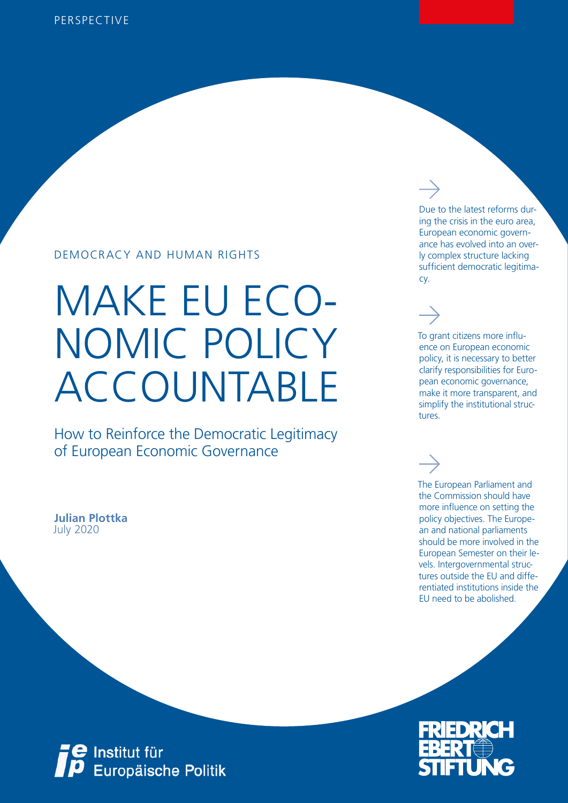### DEMOCRACY AND HUMAN RIGHTS

# MAKE EU ECO-NOMIC POLICY ACCOUNTABLE

How to Reinforce the Democratic Legitimacy of European Economic Governance

July 2020 **Julian Plottka**



Due to the latest reforms during the crisis in the euro area, European economic governance has evolved into an overly complex structure lacking sufficient democratic legitimacy.

To grant citizens more influence on European economic policy, it is necessary to better clarify responsibilities for European economic governance, make it more transparent, and simplify the institutional structures.

The European Parliament and the Commission should have more influence on setting the policy objectives. The European and national parliaments should be more involved in the European Semester on their levels. Intergovernmental structures outside the EU and differentiated institutions inside the EU need to be abolished.



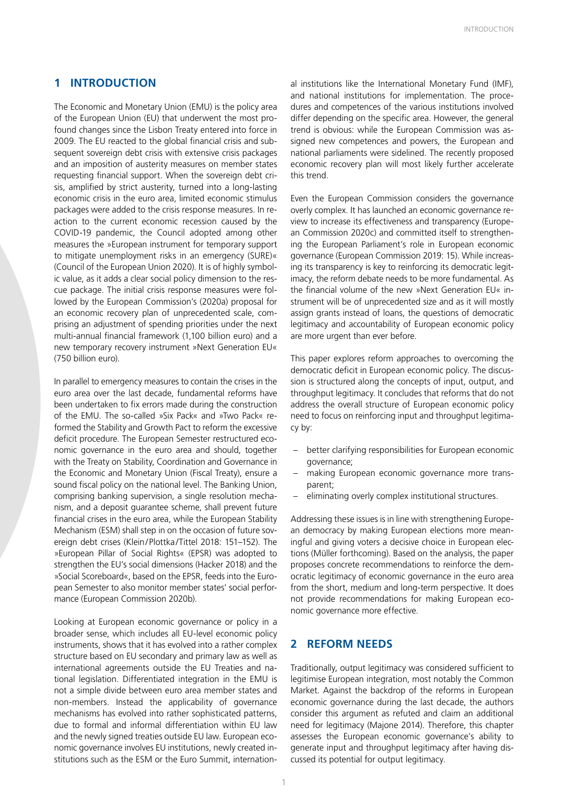#### **1 INTRODUCTION**

The Economic and Monetary Union (EMU) is the policy area of the European Union (EU) that underwent the most profound changes since the Lisbon Treaty entered into force in 2009. The EU reacted to the global financial crisis and subsequent sovereign debt crisis with extensive crisis packages and an imposition of austerity measures on member states requesting financial support. When the sovereign debt crisis, amplified by strict austerity, turned into a long-lasting economic crisis in the euro area, limited economic stimulus packages were added to the crisis response measures. In reaction to the current economic recession caused by the COVID-19 pandemic, the Council adopted among other measures the »European instrument for temporary support to mitigate unemployment risks in an emergency (SURE)« (Council of the European Union 2020). It is of highly symbolic value, as it adds a clear social policy dimension to the rescue package. The initial crisis response measures were followed by the European Commission's (2020a) proposal for an economic recovery plan of unprecedented scale, comprising an adjustment of spending priorities under the next multi-annual financial framework (1,100 billion euro) and a new temporary recovery instrument »Next Generation EU« (750 billion euro).

In parallel to emergency measures to contain the crises in the euro area over the last decade, fundamental reforms have been undertaken to fix errors made during the construction of the EMU. The so-called »Six Pack« and »Two Pack« reformed the Stability and Growth Pact to reform the excessive deficit procedure. The European Semester restructured economic governance in the euro area and should, together with the Treaty on Stability, Coordination and Governance in the Economic and Monetary Union (Fiscal Treaty), ensure a sound fiscal policy on the national level. The Banking Union, comprising banking supervision, a single resolution mechanism, and a deposit guarantee scheme, shall prevent future financial crises in the euro area, while the European Stability Mechanism (ESM) shall step in on the occasion of future sovereign debt crises (Klein/Plottka/Tittel 2018: 151–152). The »European Pillar of Social Rights« (EPSR) was adopted to strengthen the EU's social dimensions (Hacker 2018) and the »Social Scoreboard«, based on the EPSR, feeds into the European Semester to also monitor member states' social performance (European Commission 2020b).

Looking at European economic governance or policy in a broader sense, which includes all EU-level economic policy instruments, shows that it has evolved into a rather complex structure based on EU secondary and primary law as well as international agreements outside the EU Treaties and national legislation. Differentiated integration in the EMU is not a simple divide between euro area member states and non-members. Instead the applicability of governance mechanisms has evolved into rather sophisticated patterns, due to formal and informal differentiation within EU law and the newly signed treaties outside EU law. European economic governance involves EU institutions, newly created institutions such as the ESM or the Euro Summit, international institutions like the International Monetary Fund (IMF), and national institutions for implementation. The procedures and competences of the various institutions involved differ depending on the specific area. However, the general trend is obvious: while the European Commission was assigned new competences and powers, the European and national parliaments were sidelined. The recently proposed economic recovery plan will most likely further accelerate this trend.

Even the European Commission considers the governance overly complex. It has launched an economic governance review to increase its effectiveness and transparency (European Commission 2020c) and committed itself to strengthening the European Parliament's role in European economic governance (European Commission 2019: 15). While increasing its transparency is key to reinforcing its democratic legitimacy, the reform debate needs to be more fundamental. As the financial volume of the new »Next Generation EU« instrument will be of unprecedented size and as it will mostly assign grants instead of loans, the questions of democratic legitimacy and accountability of European economic policy are more urgent than ever before.

This paper explores reform approaches to overcoming the democratic deficit in European economic policy. The discussion is structured along the concepts of input, output, and throughput legitimacy. It concludes that reforms that do not address the overall structure of European economic policy need to focus on reinforcing input and throughput legitimacy by:

- better clarifying responsibilities for European economic governance;
- making European economic governance more transparent;
- eliminating overly complex institutional structures.

Addressing these issues is in line with strengthening European democracy by making European elections more meaningful and giving voters a decisive choice in European elections (Müller forthcoming). Based on the analysis, the paper proposes concrete recommendations to reinforce the democratic legitimacy of economic governance in the euro area from the short, medium and long-term perspective. It does not provide recommendations for making European economic governance more effective.

#### **2 REFORM NEEDS**

Traditionally, output legitimacy was considered sufficient to legitimise European integration, most notably the Common Market. Against the backdrop of the reforms in European economic governance during the last decade, the authors consider this argument as refuted and claim an additional need for legitimacy (Majone 2014). Therefore, this chapter assesses the European economic governance's ability to generate input and throughput legitimacy after having discussed its potential for output legitimacy.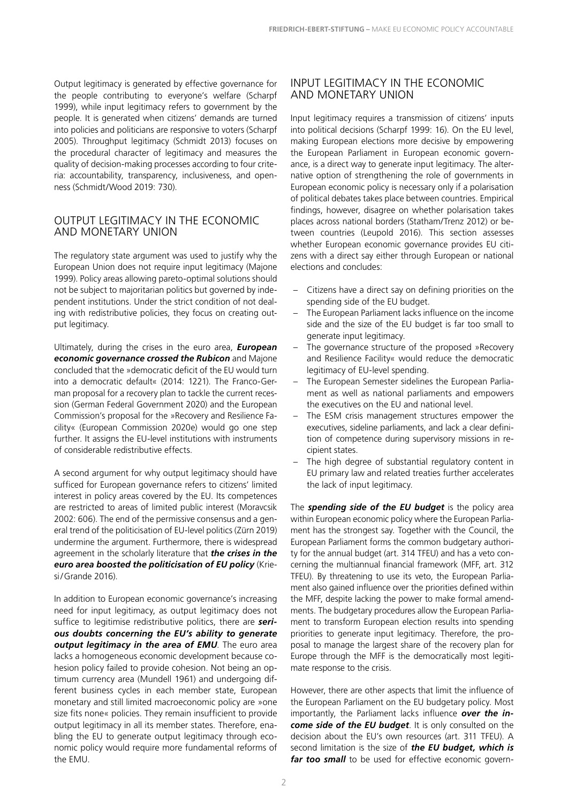Output legitimacy is generated by effective governance for the people contributing to everyone's welfare (Scharpf 1999), while input legitimacy refers to government by the people. It is generated when citizens' demands are turned into policies and politicians are responsive to voters (Scharpf 2005). Throughput legitimacy (Schmidt 2013) focuses on the procedural character of legitimacy and measures the quality of decision-making processes according to four criteria: accountability, transparency, inclusiveness, and openness (Schmidt/Wood 2019: 730).

#### OUTPUT LEGITIMACY IN THE ECONOMIC AND MONETARY UNION

The regulatory state argument was used to justify why the European Union does not require input legitimacy (Majone 1999). Policy areas allowing pareto-optimal solutions should not be subject to majoritarian politics but governed by independent institutions. Under the strict condition of not dealing with redistributive policies, they focus on creating output legitimacy.

Ultimately, during the crises in the euro area, *European economic governance crossed the Rubicon* and Majone concluded that the »democratic deficit of the EU would turn into a democratic default« (2014: 1221). The Franco-German proposal for a recovery plan to tackle the current recession (German Federal Government 2020) and the European Commission's proposal for the »Recovery and Resilience Facility« (European Commission 2020e) would go one step further. It assigns the EU-level institutions with instruments of considerable redistributive effects.

A second argument for why output legitimacy should have sufficed for European governance refers to citizens' limited interest in policy areas covered by the EU. Its competences are restricted to areas of limited public interest (Moravcsik 2002: 606). The end of the permissive consensus and a general trend of the politicisation of EU-level politics (Zürn 2019) undermine the argument. Furthermore, there is widespread agreement in the scholarly literature that *the crises in the euro area boosted the politicisation of EU policy* (Kriesi/Grande 2016).

In addition to European economic governance's increasing need for input legitimacy, as output legitimacy does not suffice to legitimise redistributive politics, there are *serious doubts concerning the EU's ability to generate output legitimacy in the area of EMU*. The euro area lacks a homogeneous economic development because cohesion policy failed to provide cohesion. Not being an optimum currency area (Mundell 1961) and undergoing different business cycles in each member state, European monetary and still limited macroeconomic policy are »one size fits none« policies. They remain insufficient to provide output legitimacy in all its member states. Therefore, enabling the EU to generate output legitimacy through economic policy would require more fundamental reforms of the EMU.

#### INPUT LEGITIMACY IN THE ECONOMIC AND MONETARY UNION

Input legitimacy requires a transmission of citizens' inputs into political decisions (Scharpf 1999: 16). On the EU level, making European elections more decisive by empowering the European Parliament in European economic governance, is a direct way to generate input legitimacy. The alternative option of strengthening the role of governments in European economic policy is necessary only if a polarisation of political debates takes place between countries. Empirical findings, however, disagree on whether polarisation takes places across national borders (Statham/Trenz 2012) or between countries (Leupold 2016). This section assesses whether European economic governance provides EU citizens with a direct say either through European or national elections and concludes:

- Citizens have a direct say on defining priorities on the spending side of the EU budget.
- The European Parliament lacks influence on the income side and the size of the EU budget is far too small to generate input legitimacy.
- The governance structure of the proposed »Recovery and Resilience Facility« would reduce the democratic legitimacy of EU-level spending.
- The European Semester sidelines the European Parliament as well as national parliaments and empowers the executives on the EU and national level.
- The ESM crisis management structures empower the executives, sideline parliaments, and lack a clear definition of competence during supervisory missions in recipient states.
- The high degree of substantial regulatory content in EU primary law and related treaties further accelerates the lack of input legitimacy.

The *spending side of the EU budget* is the policy area within European economic policy where the European Parliament has the strongest say. Together with the Council, the European Parliament forms the common budgetary authority for the annual budget (art. 314 TFEU) and has a veto concerning the multiannual financial framework (MFF, art. 312 TFEU). By threatening to use its veto, the European Parliament also gained influence over the priorities defined within the MFF, despite lacking the power to make formal amendments. The budgetary procedures allow the European Parliament to transform European election results into spending priorities to generate input legitimacy. Therefore, the proposal to manage the largest share of the recovery plan for Europe through the MFF is the democratically most legitimate response to the crisis.

However, there are other aspects that limit the influence of the European Parliament on the EU budgetary policy. Most importantly, the Parliament lacks influence *over the income side of the EU budget*. It is only consulted on the decision about the EU's own resources (art. 311 TFEU). A second limitation is the size of *the EU budget, which is far too small* to be used for effective economic govern-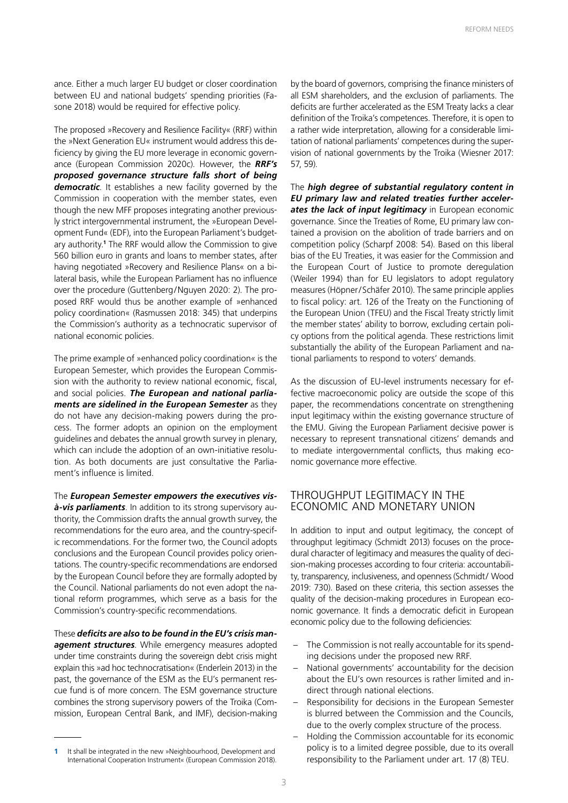ance. Either a much larger EU budget or closer coordination between EU and national budgets' spending priorities (Fasone 2018) would be required for effective policy.

The proposed »Recovery and Resilience Facility« (RRF) within the »Next Generation EU« instrument would address this deficiency by giving the EU more leverage in economic governance (European Commission 2020c). However, the *RRF's proposed governance structure falls short of being democratic*. It establishes a new facility governed by the Commission in cooperation with the member states, even though the new MFF proposes integrating another previously strict intergovernmental instrument, the »European Development Fund« (EDF), into the European Parliament's budgetary authority.**<sup>1</sup>** The RRF would allow the Commission to give 560 billion euro in grants and loans to member states, after having negotiated »Recovery and Resilience Plans« on a bilateral basis, while the European Parliament has no influence over the procedure (Guttenberg/Nguyen 2020: 2). The proposed RRF would thus be another example of »enhanced policy coordination« (Rasmussen 2018: 345) that underpins the Commission's authority as a technocratic supervisor of national economic policies.

The prime example of »enhanced policy coordination« is the European Semester, which provides the European Commission with the authority to review national economic, fiscal, and social policies. *The European and national parliaments are sidelined in the European Semester* as they do not have any decision-making powers during the process. The former adopts an opinion on the employment guidelines and debates the annual growth survey in plenary, which can include the adoption of an own-initiative resolution. As both documents are just consultative the Parliament's influence is limited.

The *European Semester empowers the executives visà-vis parliaments*. In addition to its strong supervisory authority, the Commission drafts the annual growth survey, the recommendations for the euro area, and the country-specific recommendations. For the former two, the Council adopts conclusions and the European Council provides policy orientations. The country-specific recommendations are endorsed by the European Council before they are formally adopted by the Council. National parliaments do not even adopt the national reform programmes, which serve as a basis for the Commission's country-specific recommendations.

These *deficits are also to be found in the EU's crisis management structures*. While emergency measures adopted under time constraints during the sovereign debt crisis might explain this »ad hoc technocratisation« (Enderlein 2013) in the past, the governance of the ESM as the EU's permanent rescue fund is of more concern. The ESM governance structure combines the strong supervisory powers of the Troika (Commission, European Central Bank, and IMF), decision-making by the board of governors, comprising the finance ministers of all ESM shareholders, and the exclusion of parliaments. The deficits are further accelerated as the ESM Treaty lacks a clear definition of the Troika's competences. Therefore, it is open to a rather wide interpretation, allowing for a considerable limitation of national parliaments' competences during the supervision of national governments by the Troika (Wiesner 2017: 57, 59).

The *high degree of substantial regulatory content in EU primary law and related treaties further accelerates the lack of input legitimacy* in European economic governance. Since the Treaties of Rome, EU primary law contained a provision on the abolition of trade barriers and on competition policy (Scharpf 2008: 54). Based on this liberal bias of the EU Treaties, it was easier for the Commission and the European Court of Justice to promote deregulation (Weiler 1994) than for EU legislators to adopt regulatory measures (Höpner/Schäfer 2010). The same principle applies to fiscal policy: art. 126 of the Treaty on the Functioning of the European Union (TFEU) and the Fiscal Treaty strictly limit the member states' ability to borrow, excluding certain policy options from the political agenda. These restrictions limit substantially the ability of the European Parliament and national parliaments to respond to voters' demands.

As the discussion of EU-level instruments necessary for effective macroeconomic policy are outside the scope of this paper, the recommendations concentrate on strengthening input legitimacy within the existing governance structure of the EMU. Giving the European Parliament decisive power is necessary to represent transnational citizens' demands and to mediate intergovernmental conflicts, thus making economic governance more effective.

#### THROUGHPUT LEGITIMACY IN THE ECONOMIC AND MONETARY UNION

In addition to input and output legitimacy, the concept of throughput legitimacy (Schmidt 2013) focuses on the procedural character of legitimacy and measures the quality of decision-making processes according to four criteria: accountability, transparency, inclusiveness, and openness (Schmidt/ Wood 2019: 730). Based on these criteria, this section assesses the quality of the decision-making procedures in European economic governance. It finds a democratic deficit in European economic policy due to the following deficiencies:

- The Commission is not really accountable for its spending decisions under the proposed new RRF.
- National governments' accountability for the decision about the EU's own resources is rather limited and indirect through national elections.
- Responsibility for decisions in the European Semester is blurred between the Commission and the Councils, due to the overly complex structure of the process.
- Holding the Commission accountable for its economic policy is to a limited degree possible, due to its overall responsibility to the Parliament under art. 17 (8) TEU.

**<sup>1</sup>** It shall be integrated in the new »Neighbourhood, Development and International Cooperation Instrument« (European Commission 2018).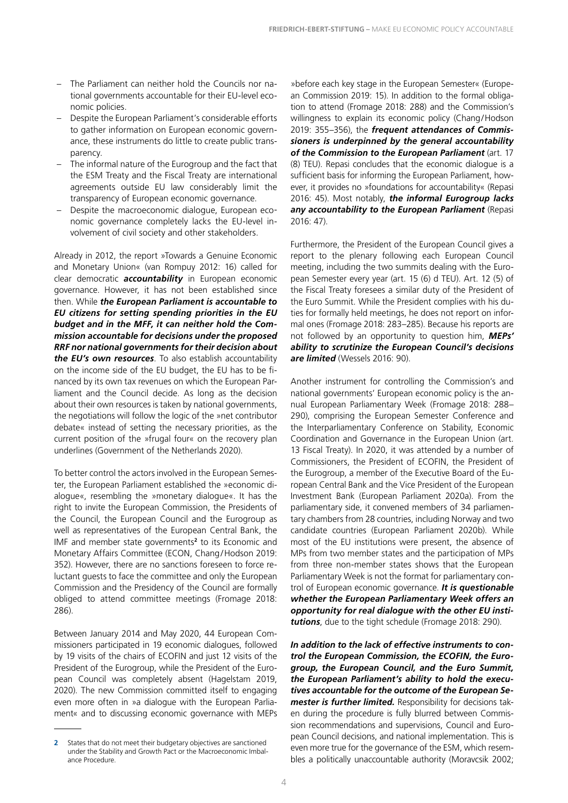- The Parliament can neither hold the Councils nor national governments accountable for their EU-level economic policies.
- Despite the European Parliament's considerable efforts to gather information on European economic governance, these instruments do little to create public transparency.
- The informal nature of the Eurogroup and the fact that the ESM Treaty and the Fiscal Treaty are international agreements outside EU law considerably limit the transparency of European economic governance.
- Despite the macroeconomic dialogue, European economic governance completely lacks the EU-level involvement of civil society and other stakeholders.

Already in 2012, the report »Towards a Genuine Economic and Monetary Union« (van Rompuy 2012: 16) called for clear democratic *accountability* in European economic governance. However, it has not been established since then. While *the European Parliament is accountable to EU citizens for setting spending priorities in the EU budget and in the MFF, it can neither hold the Commission accountable for decisions under the proposed RRF nor national governments for their decision about the EU's own resources*. To also establish accountability on the income side of the EU budget, the EU has to be financed by its own tax revenues on which the European Parliament and the Council decide. As long as the decision about their own resources is taken by national governments, the negotiations will follow the logic of the »net contributor debate« instead of setting the necessary priorities, as the current position of the »frugal four« on the recovery plan underlines (Government of the Netherlands 2020).

To better control the actors involved in the European Semester, the European Parliament established the »economic dialogue«, resembling the »monetary dialogue«. It has the right to invite the European Commission, the Presidents of the Council, the European Council and the Eurogroup as well as representatives of the European Central Bank, the IMF and member state governments**<sup>2</sup>** to its Economic and Monetary Affairs Committee (ECON, Chang/Hodson 2019: 352). However, there are no sanctions foreseen to force reluctant guests to face the committee and only the European Commission and the Presidency of the Council are formally obliged to attend committee meetings (Fromage 2018: 286).

Between January 2014 and May 2020, 44 European Commissioners participated in 19 economic dialogues, followed by 19 visits of the chairs of ECOFIN and just 12 visits of the President of the Eurogroup, while the President of the European Council was completely absent (Hagelstam 2019, 2020). The new Commission committed itself to engaging even more often in »a dialogue with the European Parliament« and to discussing economic governance with MEPs

»before each key stage in the European Semester« (European Commission 2019: 15). In addition to the formal obligation to attend (Fromage 2018: 288) and the Commission's willingness to explain its economic policy (Chang/Hodson 2019: 355–356), the *frequent attendances of Commissioners is underpinned by the general accountability of the Commission to the European Parliament* (art. 17 (8) TEU). Repasi concludes that the economic dialogue is a sufficient basis for informing the European Parliament, however, it provides no »foundations for accountability« (Repasi 2016: 45). Most notably, *the informal Eurogroup lacks any accountability to the European Parliament* (Repasi 2016: 47).

Furthermore, the President of the European Council gives a report to the plenary following each European Council meeting, including the two summits dealing with the European Semester every year (art. 15 (6) d TEU). Art. 12 (5) of the Fiscal Treaty foresees a similar duty of the President of the Euro Summit. While the President complies with his duties for formally held meetings, he does not report on informal ones (Fromage 2018: 283–285). Because his reports are not followed by an opportunity to question him, *MEPs' ability to scrutinize the European Council's decisions are limited* (Wessels 2016: 90).

Another instrument for controlling the Commission's and national governments' European economic policy is the annual European Parliamentary Week (Fromage 2018: 288– 290), comprising the European Semester Conference and the Interparliamentary Conference on Stability, Economic Coordination and Governance in the European Union (art. 13 Fiscal Treaty). In 2020, it was attended by a number of Commissioners, the President of ECOFIN, the President of the Eurogroup, a member of the Executive Board of the European Central Bank and the Vice President of the European Investment Bank (European Parliament 2020a). From the parliamentary side, it convened members of 34 parliamentary chambers from 28 countries, including Norway and two candidate countries (European Parliament 2020b). While most of the EU institutions were present, the absence of MPs from two member states and the participation of MPs from three non-member states shows that the European Parliamentary Week is not the format for parliamentary control of European economic governance. *It is questionable whether the European Parliamentary Week offers an opportunity for real dialogue with the other EU institutions*, due to the tight schedule (Fromage 2018: 290).

*In addition to the lack of effective instruments to control the European Commission, the ECOFIN, the Eurogroup, the European Council, and the Euro Summit, the European Parliament's ability to hold the executives accountable for the outcome of the European Semester is further limited.* Responsibility for decisions taken during the procedure is fully blurred between Commission recommendations and supervisions, Council and European Council decisions, and national implementation. This is even more true for the governance of the ESM, which resembles a politically unaccountable authority (Moravcsik 2002;

**<sup>2</sup>** States that do not meet their budgetary objectives are sanctioned under the Stability and Growth Pact or the Macroeconomic Imbalance Procedure.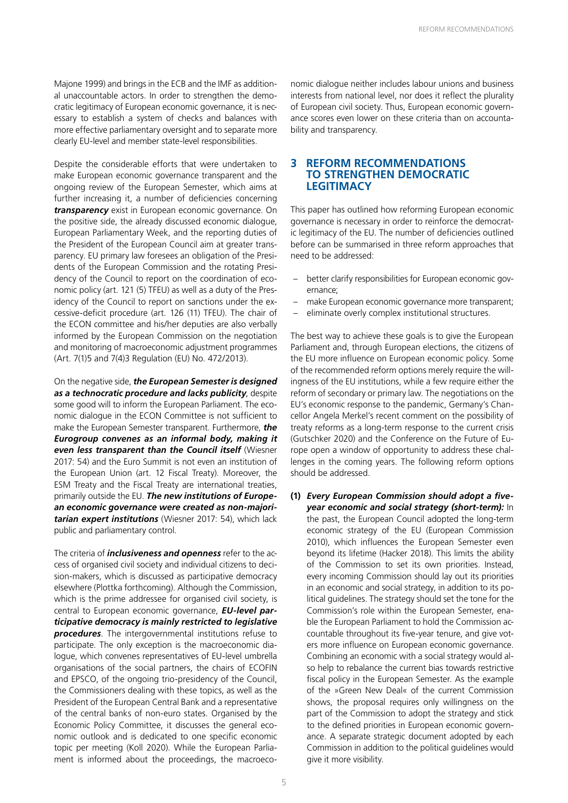Majone 1999) and brings in the ECB and the IMF as additional unaccountable actors. In order to strengthen the democratic legitimacy of European economic governance, it is necessary to establish a system of checks and balances with more effective parliamentary oversight and to separate more clearly EU-level and member state-level responsibilities.

Despite the considerable efforts that were undertaken to make European economic governance transparent and the ongoing review of the European Semester, which aims at further increasing it, a number of deficiencies concerning *transparency* exist in European economic governance. On the positive side, the already discussed economic dialogue, European Parliamentary Week, and the reporting duties of the President of the European Council aim at greater transparency. EU primary law foresees an obligation of the Presidents of the European Commission and the rotating Presidency of the Council to report on the coordination of economic policy (art. 121 (5) TFEU) as well as a duty of the Presidency of the Council to report on sanctions under the excessive-deficit procedure (art. 126 (11) TFEU). The chair of the ECON committee and his/her deputies are also verbally informed by the European Commission on the negotiation and monitoring of macroeconomic adjustment programmes (Art. 7(1)5 and 7(4)3 Regulation (EU) No. 472/2013).

On the negative side, *the European Semester is designed as a technocratic procedure and lacks publicity*, despite some good will to inform the European Parliament. The economic dialogue in the ECON Committee is not sufficient to make the European Semester transparent. Furthermore, *the Eurogroup convenes as an informal body, making it even less transparent than the Council itself* (Wiesner 2017: 54) and the Euro Summit is not even an institution of the European Union (art. 12 Fiscal Treaty). Moreover, the ESM Treaty and the Fiscal Treaty are international treaties, primarily outside the EU. *The new institutions of European economic governance were created as non-majoritarian expert institutions* (Wiesner 2017: 54), which lack public and parliamentary control.

The criteria of *inclusiveness and openness* refer to the access of organised civil society and individual citizens to decision-makers, which is discussed as participative democracy elsewhere (Plottka forthcoming). Although the Commission, which is the prime addressee for organised civil society, is central to European economic governance, *EU-level participative democracy is mainly restricted to legislative procedures*. The intergovernmental institutions refuse to participate. The only exception is the macroeconomic dialogue, which convenes representatives of EU-level umbrella organisations of the social partners, the chairs of ECOFIN and EPSCO, of the ongoing trio-presidency of the Council, the Commissioners dealing with these topics, as well as the President of the European Central Bank and a representative of the central banks of non-euro states. Organised by the Economic Policy Committee, it discusses the general economic outlook and is dedicated to one specific economic topic per meeting (Koll 2020). While the European Parliament is informed about the proceedings, the macroeco-

nomic dialogue neither includes labour unions and business interests from national level, nor does it reflect the plurality of European civil society. Thus, European economic governance scores even lower on these criteria than on accountability and transparency.

#### **3 REFORM RECOMMENDATIONS TO STRENGTHEN DEMOCRATIC LEGITIMACY**

This paper has outlined how reforming European economic governance is necessary in order to reinforce the democratic legitimacy of the EU. The number of deficiencies outlined before can be summarised in three reform approaches that need to be addressed:

- better clarify responsibilities for European economic governance;
- make European economic governance more transparent;
- eliminate overly complex institutional structures.

The best way to achieve these goals is to give the European Parliament and, through European elections, the citizens of the EU more influence on European economic policy. Some of the recommended reform options merely require the willingness of the EU institutions, while a few require either the reform of secondary or primary law. The negotiations on the EU's economic response to the pandemic, Germany's Chancellor Angela Merkel's recent comment on the possibility of treaty reforms as a long-term response to the current crisis (Gutschker 2020) and the Conference on the Future of Europe open a window of opportunity to address these challenges in the coming years. The following reform options should be addressed.

**(1)** *Every European Commission should adopt a fiveyear economic and social strategy (short-term):* In the past, the European Council adopted the long-term economic strategy of the EU (European Commission 2010), which influences the European Semester even beyond its lifetime (Hacker 2018). This limits the ability of the Commission to set its own priorities. Instead, every incoming Commission should lay out its priorities in an economic and social strategy, in addition to its political guidelines. The strategy should set the tone for the Commission's role within the European Semester, enable the European Parliament to hold the Commission accountable throughout its five-year tenure, and give voters more influence on European economic governance. Combining an economic with a social strategy would also help to rebalance the current bias towards restrictive fiscal policy in the European Semester. As the example of the »Green New Deal« of the current Commission shows, the proposal requires only willingness on the part of the Commission to adopt the strategy and stick to the defined priorities in European economic governance. A separate strategic document adopted by each Commission in addition to the political guidelines would give it more visibility.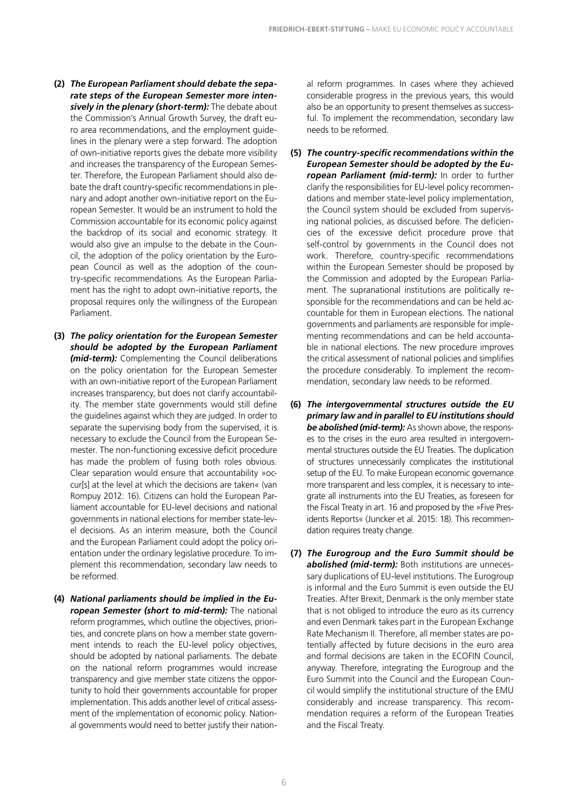- **(2)** *The European Parliament should debate the separate steps of the European Semester more intensively in the plenary (short-term):* The debate about the Commission's Annual Growth Survey, the draft euro area recommendations, and the employment guidelines in the plenary were a step forward. The adoption of own-initiative reports gives the debate more visibility and increases the transparency of the European Semester. Therefore, the European Parliament should also debate the draft country-specific recommendations in plenary and adopt another own-initiative report on the European Semester. It would be an instrument to hold the Commission accountable for its economic policy against the backdrop of its social and economic strategy. It would also give an impulse to the debate in the Council, the adoption of the policy orientation by the European Council as well as the adoption of the country-specific recommendations. As the European Parliament has the right to adopt own-initiative reports, the proposal requires only the willingness of the European Parliament.
- **(3)** *The policy orientation for the European Semester should be adopted by the European Parliament (mid-term):* Complementing the Council deliberations on the policy orientation for the European Semester with an own-initiative report of the European Parliament increases transparency, but does not clarify accountability. The member state governments would still define the guidelines against which they are judged. In order to separate the supervising body from the supervised, it is necessary to exclude the Council from the European Semester. The non-functioning excessive deficit procedure has made the problem of fusing both roles obvious. Clear separation would ensure that accountability »occur[s] at the level at which the decisions are taken« (van Rompuy 2012: 16). Citizens can hold the European Parliament accountable for EU-level decisions and national governments in national elections for member state-level decisions. As an interim measure, both the Council and the European Parliament could adopt the policy orientation under the ordinary legislative procedure. To implement this recommendation, secondary law needs to be reformed.
- **(4)** *National parliaments should be implied in the European Semester (short to mid-term):* The national reform programmes, which outline the objectives, priorities, and concrete plans on how a member state government intends to reach the EU-level policy objectives, should be adopted by national parliaments. The debate on the national reform programmes would increase transparency and give member state citizens the opportunity to hold their governments accountable for proper implementation. This adds another level of critical assessment of the implementation of economic policy. National governments would need to better justify their nation-

al reform programmes. In cases where they achieved considerable progress in the previous years, this would also be an opportunity to present themselves as successful. To implement the recommendation, secondary law needs to be reformed.

- **(5)** *The country-specific recommendations within the European Semester should be adopted by the European Parliament (mid-term):* In order to further clarify the responsibilities for EU-level policy recommendations and member state-level policy implementation, the Council system should be excluded from supervising national policies, as discussed before. The deficiencies of the excessive deficit procedure prove that self-control by governments in the Council does not work. Therefore, country-specific recommendations within the European Semester should be proposed by the Commission and adopted by the European Parliament. The supranational institutions are politically responsible for the recommendations and can be held accountable for them in European elections. The national governments and parliaments are responsible for implementing recommendations and can be held accountable in national elections. The new procedure improves the critical assessment of national policies and simplifies the procedure considerably. To implement the recommendation, secondary law needs to be reformed.
- **(6)** *The intergovernmental structures outside the EU primary law and in parallel to EU institutions should be abolished (mid-term):* As shown above, the responses to the crises in the euro area resulted in intergovernmental structures outside the EU Treaties. The duplication of structures unnecessarily complicates the institutional setup of the EU. To make European economic governance more transparent and less complex, it is necessary to integrate all instruments into the EU Treaties, as foreseen for the Fiscal Treaty in art. 16 and proposed by the »Five Presidents Reports« (Juncker et al. 2015: 18). This recommendation requires treaty change.
- **(7)** *The Eurogroup and the Euro Summit should be abolished (mid-term):* Both institutions are unnecessary duplications of EU-level institutions. The Eurogroup is informal and the Euro Summit is even outside the EU Treaties. After Brexit, Denmark is the only member state that is not obliged to introduce the euro as its currency and even Denmark takes part in the European Exchange Rate Mechanism II. Therefore, all member states are potentially affected by future decisions in the euro area and formal decisions are taken in the ECOFIN Council, anyway. Therefore, integrating the Eurogroup and the Euro Summit into the Council and the European Council would simplify the institutional structure of the EMU considerably and increase transparency. This recommendation requires a reform of the European Treaties and the Fiscal Treaty.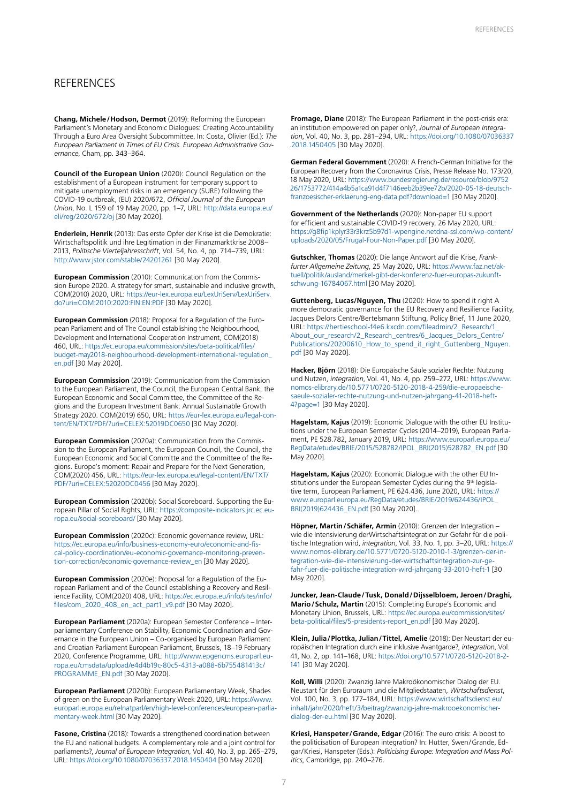#### **REFERENCES**

**Chang, Michele/Hodson, Dermot** (2019): Reforming the European Parliament's Monetary and Economic Dialogues: Creating Accountability Through a Euro Area Oversight Subcommittee. In: Costa, Olivier (Ed.): *The European Parliament in Times of EU Crisis. European Administrative Governance*, Cham, pp. 343–364.

**Council of the European Union** (2020): Council Regulation on the establishment of a European instrument for temporary support to mitigate unemployment risks in an emergency (SURE) following the COVID-19 outbreak, (EU) 2020/672, *Official Journal of the European Union*, No. L 159 of 19 May 2020, pp. 1–7, URL: [http://data.europa.eu/](http://data.europa.eu/eli/reg/2020/672/oj) [eli/reg/2020/672/oj](http://data.europa.eu/eli/reg/2020/672/oj) [30 May 2020].

**Enderlein, Henrik** (2013): Das erste Opfer der Krise ist die Demokratie: Wirtschaftspolitik und ihre Legitimation in der Finanzmarktkrise 2008– 2013, *Politische Vierteljahresschrift*, Vol. 54, No. 4, pp. 714–739, URL: <http://www.jstor.com/stable/24201261>[30 May 2020].

**European Commission** (2010): Communication from the Commission Europe 2020. A strategy for smart, sustainable and inclusive growth, COM(2010) 2020, URL: [https://eur-lex.europa.eu/LexUriServ/LexUriServ.](https://eur-lex.europa.eu/LexUriServ/LexUriServ.do?uri=COM:2010:2020:FIN:EN:PDF) [do?uri=COM:2010:2020:FIN:EN:PDF](https://eur-lex.europa.eu/LexUriServ/LexUriServ.do?uri=COM:2010:2020:FIN:EN:PDF) [30 May 2020].

**European Commission** (2018): Proposal for a Regulation of the European Parliament and of The Council establishing the Neighbourhood, Development and International Cooperation Instrument, COM(2018) 460, URL: [https://ec.europa.eu/commission/sites/beta-political/files/](https://ec.europa.eu/commission/sites/beta-political/files/budget-may2018-neighbourhood-development-international-regulation_en.pdf) [budget-may2018-neighbourhood-development-international-regulation\\_](https://ec.europa.eu/commission/sites/beta-political/files/budget-may2018-neighbourhood-development-international-regulation_en.pdf) [en.pdf](https://ec.europa.eu/commission/sites/beta-political/files/budget-may2018-neighbourhood-development-international-regulation_en.pdf) [30 May 2020].

**European Commission** (2019): Communication from the Commission to the European Parliament, the Council, the European Central Bank, the European Economic and Social Committee, the Committee of the Regions and the European Investment Bank. Annual Sustainable Growth Strategy 2020. COM(2019) 650, URL: [https://eur-lex.europa.eu/legal-con](https://eur-lex.europa.eu/legal-content/EN/TXT/PDF/?uri=CELEX:52019DC0650&from=EN)[tent/EN/TXT/PDF/?uri=CELEX:52019DC0650](https://eur-lex.europa.eu/legal-content/EN/TXT/PDF/?uri=CELEX:52019DC0650&from=EN) [30 May 2020].

**European Commission** (2020a): Communication from the Commission to the European Parliament, the European Council, the Council, the European Economic and Social Committe and the Committee of the Regions. Europe's moment: Repair and Prepare for the Next Generation, COM(2020) 456, URL: [https://eur-lex.europa.eu/legal-content/EN/TXT/](https://eur-lex.europa.eu/legal-content/EN/TXT/PDF/?uri=CELEX:52020DC0456&from=EN) [PDF/?uri=CELEX:52020DC0456](https://eur-lex.europa.eu/legal-content/EN/TXT/PDF/?uri=CELEX:52020DC0456&from=EN) [30 May 2020].

**European Commission** (2020b): Social Scoreboard. Supporting the European Pillar of Social Rights, URL: [https://composite-indicators.jrc.ec.eu](https://composite-indicators.jrc.ec.europa.eu/social-scoreboard/)[ropa.eu/social-scoreboard/](https://composite-indicators.jrc.ec.europa.eu/social-scoreboard/) [30 May 2020].

**European Commission** (2020c): Economic governance review, URL: [https://ec.europa.eu/info/business-economy-euro/economic-and-fis](https://ec.europa.eu/info/business-economy-euro/economic-and-fiscal-policy-coordination/eu-economic-governance-monitoring-prevention-correction/economic-governance-review_en)[cal-policy-coordination/eu-economic-governance-monitoring-preven](https://ec.europa.eu/info/business-economy-euro/economic-and-fiscal-policy-coordination/eu-economic-governance-monitoring-prevention-correction/economic-governance-review_en)[tion-correction/economic-governance-review\\_en](https://ec.europa.eu/info/business-economy-euro/economic-and-fiscal-policy-coordination/eu-economic-governance-monitoring-prevention-correction/economic-governance-review_en) [30 May 2020].

**European Commission** (2020e): Proposal for a Regulation of the European Parliament and of the Council establishing a Recovery and Resilience Facility, COM(2020) 408, URL: [https://ec.europa.eu/info/sites/info/](https://ec.europa.eu/info/sites/info/files/com_2020_408_en_act_part1_v9.pdf ) [files/com\\_2020\\_408\\_en\\_act\\_part1\\_v9.pdf \[30 May 2020\].](https://ec.europa.eu/info/sites/info/files/com_2020_408_en_act_part1_v9.pdf )

**European Parliament** (2020a): European Semester Conference – Interparliamentary Conference on Stability, Economic Coordination and Governance in the European Union – Co-organised by European Parliament and Croatian Parliament European Parliament, Brussels, 18–19 February 2020, Conference Programme, URL: [http://www.epgencms.europarl.eu](http://www.epgencms.europarl.europa.eu/cmsdata/upload/e4d4b19c-80c5-4313-a088-6b755481413c/PROGRAMME_EN.pdf)[ropa.eu/cmsdata/upload/e4d4b19c-80c5-4313-a088-6b755481413c/](http://www.epgencms.europarl.europa.eu/cmsdata/upload/e4d4b19c-80c5-4313-a088-6b755481413c/PROGRAMME_EN.pdf) [PROGRAMME\\_EN.pdf](http://www.epgencms.europarl.europa.eu/cmsdata/upload/e4d4b19c-80c5-4313-a088-6b755481413c/PROGRAMME_EN.pdf) [30 May 2020].

**European Parliament** (2020b): European Parliamentary Week, Shades of green on the European Parliamentary Week 2020, URL: [https://www.](https://www.europarl.europa.eu/relnatparl/en/high-level-conferences/european-parliamentary-week.html) [europarl.europa.eu/relnatparl/en/high-level-conferences/european-parlia](https://www.europarl.europa.eu/relnatparl/en/high-level-conferences/european-parliamentary-week.html)[mentary-week.html](https://www.europarl.europa.eu/relnatparl/en/high-level-conferences/european-parliamentary-week.html) [30 May 2020].

**Fasone, Cristina** (2018): Towards a strengthened coordination between the EU and national budgets. A complementary role and a joint control for parliaments?, *Journal of European Integration*, Vol. 40, No. 3, pp. 265–279, URL: [https://doi.org/10.1080/07036337.2018.1450404 \[30 May 2020\].](https://doi.org/10.1080/07036337.2018.1450404 )

**Fromage, Diane** (2018): The European Parliament in the post-crisis era: an institution empowered on paper only?, *Journal of European Integration*, Vol. 40, No. 3, pp. 281–294, URL: [https://doi.org/10.1080/07036337](https://doi.org/10.1080/07036337.2018.1450405) [.2018.1450405](https://doi.org/10.1080/07036337.2018.1450405) [30 May 2020].

**German Federal Government** (2020): A French-German Initiative for the European Recovery from the Coronavirus Crisis, Presse Release No. 173/20, 18 May 2020, URL: [https://www.bundesregierung.de/resource/blob/9752](https://www.bundesregierung.de/resource/blob/975226/1753772/414a4b5a1ca91d4f7146eeb2b39ee72b/2020-05-18-deutsch-franzoesischer-erklaerung-eng-data.pdf?download=1) [26/1753772/414a4b5a1ca91d4f7146eeb2b39ee72b/2020-05-18-deutsch](https://www.bundesregierung.de/resource/blob/975226/1753772/414a4b5a1ca91d4f7146eeb2b39ee72b/2020-05-18-deutsch-franzoesischer-erklaerung-eng-data.pdf?download=1)[franzoesischer-erklaerung-eng-data.pdf?download=1](https://www.bundesregierung.de/resource/blob/975226/1753772/414a4b5a1ca91d4f7146eeb2b39ee72b/2020-05-18-deutsch-franzoesischer-erklaerung-eng-data.pdf?download=1) [30 May 2020].

**Government of the Netherlands** (2020): Non-paper EU support for efficient and sustainable COVID-19 recovery, 26 May 2020, URL: [https://g8fip1kplyr33r3krz5b97d1-wpengine.netdna-ssl.com/wp-content/](https://g8fip1kplyr33r3krz5b97d1-wpengine.netdna-ssl.com/wp-content/uploads/2020/05/Frugal-Four-Non-Paper.pdf) [uploads/2020/05/Frugal-Four-Non-Paper.pdf](https://g8fip1kplyr33r3krz5b97d1-wpengine.netdna-ssl.com/wp-content/uploads/2020/05/Frugal-Four-Non-Paper.pdf) [30 May 2020].

**Gutschker, Thomas** (2020): Die lange Antwort auf die Krise, *Frankfurter Allgemeine Zeitung*, 25 May 2020, URL: [https://www.faz.net/ak](https://www.faz.net/aktuell/politik/ausland/merkel-gibt-der-konferenz-fuer-europas-zukunft-schwung-16784067.html)[tuell/politik/ausland/merkel-gibt-der-konferenz-fuer-europas-zukunft](https://www.faz.net/aktuell/politik/ausland/merkel-gibt-der-konferenz-fuer-europas-zukunft-schwung-16784067.html)[schwung-16784067.html](https://www.faz.net/aktuell/politik/ausland/merkel-gibt-der-konferenz-fuer-europas-zukunft-schwung-16784067.html) [30 May 2020].

**Guttenberg, Lucas/Nguyen, Thu** (2020): How to spend it right A more democratic governance for the EU Recovery and Resilience Facility, Jacques Delors Centre/Bertelsmann Stiftung, Policy Brief, 11 June 2020, URL: [https://hertieschool-f4e6.kxcdn.com/fileadmin/2\\_Research/1\\_](https://hertieschool-f4e6.kxcdn.com/fileadmin/2_Research/1_About_our_research/2_Research_centres/6_Jacques_Delors_Centre/Publications/20200610_How_to_spend_it_right_Guttenberg_Nguyen.pdf) [About\\_our\\_research/2\\_Research\\_centres/6\\_Jacques\\_Delors\\_Centre/](https://hertieschool-f4e6.kxcdn.com/fileadmin/2_Research/1_About_our_research/2_Research_centres/6_Jacques_Delors_Centre/Publications/20200610_How_to_spend_it_right_Guttenberg_Nguyen.pdf) [Publications/20200610\\_How\\_to\\_spend\\_it\\_right\\_Guttenberg\\_Nguyen.](https://hertieschool-f4e6.kxcdn.com/fileadmin/2_Research/1_About_our_research/2_Research_centres/6_Jacques_Delors_Centre/Publications/20200610_How_to_spend_it_right_Guttenberg_Nguyen.pdf) [pdf](https://hertieschool-f4e6.kxcdn.com/fileadmin/2_Research/1_About_our_research/2_Research_centres/6_Jacques_Delors_Centre/Publications/20200610_How_to_spend_it_right_Guttenberg_Nguyen.pdf) [30 May 2020].

**Hacker, Björn** (2018): Die Europäische Säule sozialer Rechte: Nutzung und Nutzen, *integration*, Vol. 41, No. 4, pp. 259–272, URL: [https://www.](https://www.nomos-elibrary.de/10.5771/0720-5120-2018-4-259/die-europaeische-saeule-sozialer-rechte-nutzung-und-nutzen-jahrgang-41-2018-heft-4?page=1) [nomos-elibrary.de/10.5771/0720-5120-2018-4-259/die-europaeische](https://www.nomos-elibrary.de/10.5771/0720-5120-2018-4-259/die-europaeische-saeule-sozialer-rechte-nutzung-und-nutzen-jahrgang-41-2018-heft-4?page=1)[saeule-sozialer-rechte-nutzung-und-nutzen-jahrgang-41-2018-heft-](https://www.nomos-elibrary.de/10.5771/0720-5120-2018-4-259/die-europaeische-saeule-sozialer-rechte-nutzung-und-nutzen-jahrgang-41-2018-heft-4?page=1)[4?page=1](https://www.nomos-elibrary.de/10.5771/0720-5120-2018-4-259/die-europaeische-saeule-sozialer-rechte-nutzung-und-nutzen-jahrgang-41-2018-heft-4?page=1) [30 May 2020].

**Hagelstam, Kajus** (2019): Economic Dialogue with the other EU Institutions under the European Semester Cycles (2014–2019), European Parliament, PE 528.782, January 2019, URL: [https://www.europarl.europa.eu/](https://www.europarl.europa.eu/RegData/etudes/BRIE/2015/528782/IPOL_BRI(2015)528782_EN.pdf) [RegData/etudes/BRIE/2015/528782/IPOL\\_BRI\(2015\)528782\\_EN.pdf](https://www.europarl.europa.eu/RegData/etudes/BRIE/2015/528782/IPOL_BRI(2015)528782_EN.pdf) [30 May 2020].

**Hagelstam, Kajus** (2020): Economic Dialogue with the other EU Institutions under the European Semester Cycles during the 9<sup>th</sup> legislative term, European Parliament, PE 624.436, June 2020, URL: [https://](https://www.europarl.europa.eu/RegData/etudes/BRIE/2019/624436/IPOL_BRI(2019)624436_EN.pdf) [www.europarl.europa.eu/RegData/etudes/BRIE/2019/624436/IPOL\\_](https://www.europarl.europa.eu/RegData/etudes/BRIE/2019/624436/IPOL_BRI(2019)624436_EN.pdf) [BRI\(2019\)624436\\_EN.pdf](https://www.europarl.europa.eu/RegData/etudes/BRIE/2019/624436/IPOL_BRI(2019)624436_EN.pdf) [30 May 2020].

**Höpner, Martin/Schäfer, Armin** (2010): Grenzen der Integration – wie die Intensivierung derWirtschaftsintegration zur Gefahr für die politische Integration wird, *integration*, Vol. 33, No. 1, pp. 3–20, URL: [https://](https://www.nomos-elibrary.de/10.5771/0720-5120-2010-1-3/grenzen-der-integration-wie-die-intensivierung-der-wirtschaftsintegration-zur-gefahr-fuer-die-politische-integration-wird-jahrgang-33-2010-heft-1) [www.nomos-elibrary.de/10.5771/0720-5120-2010-1-3/grenzen-der-in](https://www.nomos-elibrary.de/10.5771/0720-5120-2010-1-3/grenzen-der-integration-wie-die-intensivierung-der-wirtschaftsintegration-zur-gefahr-fuer-die-politische-integration-wird-jahrgang-33-2010-heft-1)[tegration-wie-die-intensivierung-der-wirtschaftsintegration-zur-ge](https://www.nomos-elibrary.de/10.5771/0720-5120-2010-1-3/grenzen-der-integration-wie-die-intensivierung-der-wirtschaftsintegration-zur-gefahr-fuer-die-politische-integration-wird-jahrgang-33-2010-heft-1)[fahr-fuer-die-politische-integration-wird-jahrgang-33-2010-heft-1](https://www.nomos-elibrary.de/10.5771/0720-5120-2010-1-3/grenzen-der-integration-wie-die-intensivierung-der-wirtschaftsintegration-zur-gefahr-fuer-die-politische-integration-wird-jahrgang-33-2010-heft-1) [30 May 2020].

**Juncker, Jean-Claude/Tusk, Donald/Dijsselbloem, Jeroen/Draghi, Mario/Schulz, Martin** (2015): Completing Europe's Economic and Monetary Union, Brussels, URL: [https://ec.europa.eu/commission/sites/](https://ec.europa.eu/commission/sites/beta-political/files/5-presidents-report_en.pdf) [beta-political/files/5-presidents-report\\_en.pdf](https://ec.europa.eu/commission/sites/beta-political/files/5-presidents-report_en.pdf) [30 May 2020].

**Klein, Julia/Plottka, Julian/Tittel, Amelie** (2018): Der Neustart der europäischen Integration durch eine inklusive Avantgarde?, *integration*, Vol. 41, No. 2, pp. 141–168, URL: [https://doi.org/10.5771/0720-5120-2018-2-](https://doi.org/10.5771/0720-5120-2018-2-141) [141](https://doi.org/10.5771/0720-5120-2018-2-141) [30 May 2020].

**Koll, Willi** (2020): Zwanzig Jahre Makroökonomischer Dialog der EU. Neustart für den Euroraum und die Mitgliedstaaten, *Wirtschaftsdienst*, Vol. 100, No. 3, pp. 177–184, URL: [https://www.wirtschaftsdienst.eu/](https://www.wirtschaftsdienst.eu/inhalt/jahr/2020/heft/3/beitrag/zwanzig-jahre-makrooekonomischer-dialog-der-eu.html) [inhalt/jahr/2020/heft/3/beitrag/zwanzig-jahre-makrooekonomischer](https://www.wirtschaftsdienst.eu/inhalt/jahr/2020/heft/3/beitrag/zwanzig-jahre-makrooekonomischer-dialog-der-eu.html)[dialog-der-eu.html](https://www.wirtschaftsdienst.eu/inhalt/jahr/2020/heft/3/beitrag/zwanzig-jahre-makrooekonomischer-dialog-der-eu.html) [30 May 2020].

**Kriesi, Hanspeter/Grande, Edgar** (2016): The euro crisis: A boost to the politicisation of European integration? In: Hutter, Swen/Grande, Edgar/Kriesi, Hanspeter (Eds.): *Politicising Europe: Integration and Mass Politics*, Cambridge, pp. 240–276.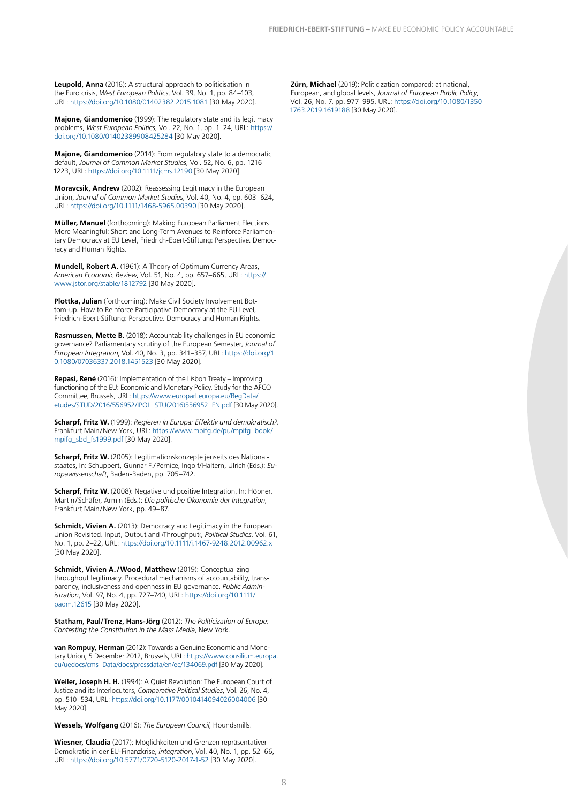**Leupold, Anna** (2016): A structural approach to politicisation in the Euro crisis, *West European Politics*, Vol. 39, No. 1, pp. 84–103, URL: <https://doi.org/10.1080/01402382.2015.1081>[30 May 2020].

**Majone, Giandomenico** (1999): The regulatory state and its legitimacy problems, *West European Politics*, Vol. 22, No. 1, pp. 1–24, URL: [https://](https://doi.org/10.1080/01402389908425284) [doi.org/10.1080/01402389908425284](https://doi.org/10.1080/01402389908425284) [30 May 2020].

**Majone, Giandomenico** (2014): From regulatory state to a democratic default, *Journal of Common Market Studies*, Vol. 52, No. 6, pp. 1216– 1223, URL: <https://doi.org/10.1111/jcms.12190>[30 May 2020].

**Moravcsik, Andrew** (2002): Reassessing Legitimacy in the European Union, *Journal of Common Market Studies*, Vol. 40, No. 4, pp. 603–624, URL: <https://doi.org/10.1111/1468-5965.00390>[30 May 2020].

**Müller, Manuel** (forthcoming): Making European Parliament Elections More Meaningful: Short and Long-Term Avenues to Reinforce Parliamentary Democracy at EU Level, Friedrich-Ebert-Stiftung: Perspective. Democracy and Human Rights.

**Mundell, Robert A.** (1961): A Theory of Optimum Currency Areas, *American Economic Review*, Vol. 51, No. 4, pp. 657–665, URL: [https://](https://www.jstor.org/stable/1812792) [www.jstor.org/stable/1812792](https://www.jstor.org/stable/1812792) [30 May 2020].

**Plottka, Julian** (forthcoming): Make Civil Society Involvement Bottom-up. How to Reinforce Participative Democracy at the EU Level, Friedrich-Ebert-Stiftung: Perspective. Democracy and Human Rights.

**Rasmussen, Mette B.** (2018): Accountability challenges in EU economic governance? Parliamentary scrutiny of the European Semester, *Journal of European Integration*, Vol. 40, No. 3, pp. 341–357, URL: [https://doi.org/1](https://doi.org/10.1080/07036337.2018.1451523) [0.1080/07036337.2018.1451523](https://doi.org/10.1080/07036337.2018.1451523) [30 May 2020].

**Repasi, René** (2016): Implementation of the Lisbon Treaty – Improving functioning of the EU: Economic and Monetary Policy, Study for the AFCO Committee, Brussels, URL: [https://www.europarl.europa.eu/RegData/](https://www.europarl.europa.eu/RegData/etudes/STUD/2016/556952/IPOL_STU(2016)556952_EN.pdf) [etudes/STUD/2016/556952/IPOL\\_STU\(2016\)556952\\_EN.pdf](https://www.europarl.europa.eu/RegData/etudes/STUD/2016/556952/IPOL_STU(2016)556952_EN.pdf) [30 May 2020].

**Scharpf, Fritz W.** (1999): *Regieren in Europa: Effektiv und demokratisch?*, Frankfurt Main/New York, URL: [https://www.mpifg.de/pu/mpifg\\_book/](https://www.mpifg.de/pu/mpifg_book/mpifg_sbd_fs1999.pdf) [mpifg\\_sbd\\_fs1999.pdf](https://www.mpifg.de/pu/mpifg_book/mpifg_sbd_fs1999.pdf) [30 May 2020].

Scharpf, Fritz W. (2005): Legitimationskonzepte jenseits des Nationalstaates, In: Schuppert, Gunnar F./Pernice, Ingolf/Haltern, Ulrich (Eds.): *Europawissenschaft*, Baden-Baden, pp. 705–742.

**Scharpf, Fritz W.** (2008): Negative und positive Integration. In: Höpner, Martin/Schäfer, Armin (Eds.): *Die politische Ökonomie der Integration*, Frankfurt Main/New York, pp. 49–87.

**Schmidt, Vivien A.** (2013): Democracy and Legitimacy in the European Union Revisited. Input, Output and ›Throughput‹, *Political Studies*, Vol. 61, No. 1, pp. 2–22, URL: <https://doi.org/10.1111/j.1467-9248.2012.00962.x> [30 May 2020].

**Schmidt, Vivien A./Wood, Matthew** (2019): Conceptualizing throughout legitimacy. Procedural mechanisms of accountability, transparency, inclusiveness and openness in EU governance. *Public Administration*, Vol. 97, No. 4, pp. 727–740, URL: [https://doi.org/10.1111/](https://doi.org/10.1111/padm.12615) [padm.12615](https://doi.org/10.1111/padm.12615) [30 May 2020].

**Statham, Paul/Trenz, Hans-Jörg** (2012): *The Politicization of Europe: Contesting the Constitution in the Mass Media*, New York.

**van Rompuy, Herman** (2012): Towards a Genuine Economic and Monetary Union, 5 December 2012, Brussels, URL: [https://www.consilium.europa.](https://www.consilium.europa.eu/uedocs/cms_Data/docs/pressdata/en/ec/134069.pdf) [eu/uedocs/cms\\_Data/docs/pressdata/en/ec/134069.pdf](https://www.consilium.europa.eu/uedocs/cms_Data/docs/pressdata/en/ec/134069.pdf) [30 May 2020].

**Weiler, Joseph H. H.** (1994): A Quiet Revolution: The European Court of Justice and its Interlocutors, *Comparative Political Studies*, Vol. 26, No. 4, pp. 510–534, URL:<https://doi.org/10.1177/0010414094026004006>[30 May 2020].

**Wessels, Wolfgang** (2016): *The European Council*, Houndsmills.

**Wiesner, Claudia** (2017): Möglichkeiten und Grenzen repräsentativer Demokratie in der EU-Finanzkrise, *integration*, Vol. 40, No. 1, pp. 52–66, URL: <https://doi.org/10.5771/0720-5120-2017-1-52>[30 May 2020].

**Zürn, Michael** (2019): Politicization compared: at national, European, and global levels, *Journal of European Public Policy*, Vol. 26, No. 7, pp. 977–995, URL: [https://doi.org/10.1080/1350](https://doi.org/10.1080/13501763.2019.1619188) [1763.2019.1619188](https://doi.org/10.1080/13501763.2019.1619188) [30 May 2020].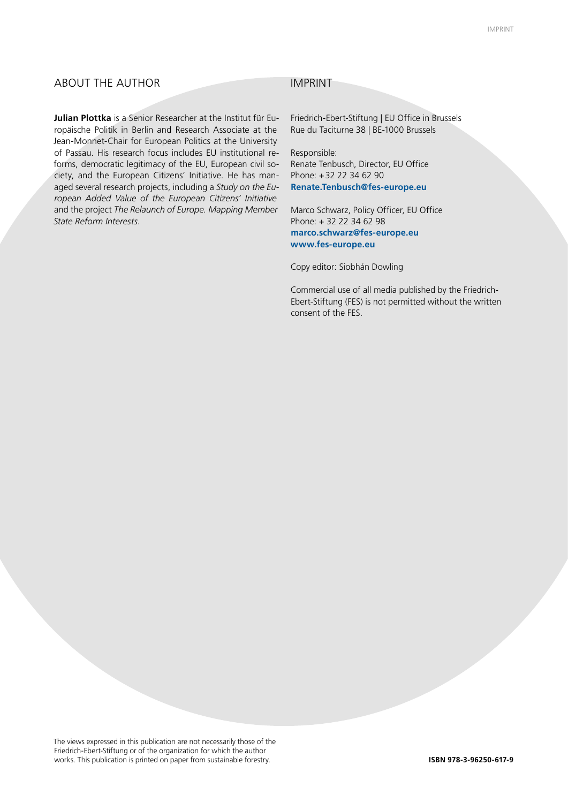#### ABOUT THE AUTHOR IMPRINT

**Julian Plottka** is a Senior Researcher at the Institut für Europäische Politik in Berlin and Research Associate at the Jean-Monnet-Chair for European Politics at the University of Passau. His research focus includes EU institutional reforms, democratic legitimacy of the EU, European civil society, and the European Citizens' Initiative. He has managed several research projects, including a *Study on the European Added Value of the European Citizens' Initiative* and the project *The Relaunch of Europe. Mapping Member State Reform Interests*.

Friedrich-Ebert-Stiftung | EU Office in Brussels Rue du Taciturne 38 | BE-1000 Brussels

Responsible: Renate Tenbusch, Director, EU Office Phone: +32 22 34 62 90 **Renate.Tenbusch@fes-europe.eu**

Marco Schwarz, Policy Officer, EU Office Phone: + 32 22 34 62 98 **marco.schwarz@fes-europe.eu www.fes-europe.eu**

Copy editor: Siobhán Dowling

Commercial use of all media published by the Friedrich-Ebert-Stiftung (FES) is not permitted without the written consent of the FES.